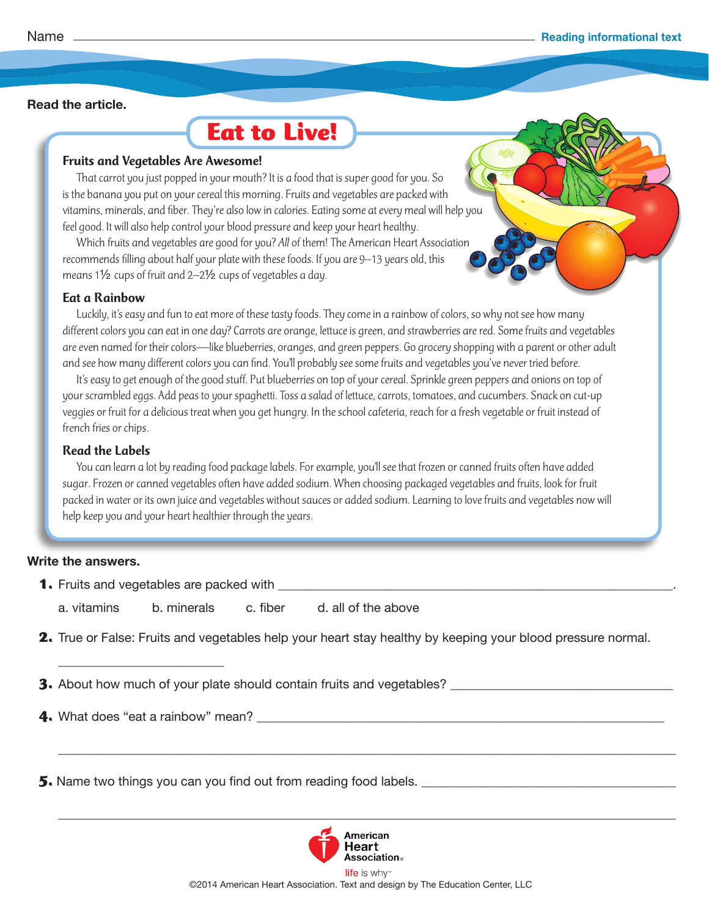#### **Read the article.**

# **Eat to Live!**

#### Fruits and Vegetables Are Awesome!

That carrot you just popped in your mouth? It is a food that is super good for you. So is the banana you put on your cereal this morning. Fruits and vegetables are packed with vitamins, minerals, and fiber. They're also low in calories. Eating some at every meal will help you feel good. It will also help control your blood pressure and keep your heart healthy.

Which fruits and vegetables are good for you? *All* of them! The American Heart Association recommends filling about half your plate with these foods. If you are 9–13 years old, this means 1½ cups of fruit and 2–2½ cups of vegetables a day.

## Eat a Rainbow

Luckily, it's easy and fun to eat more of these tasty foods. They come in a rainbow of colors, so why not see how many different colors you can eat in one day? Carrots are orange, lettuce is green, and strawberries are red. Some fruits and vegetables are even named for their colors—like blueberries, oranges, and green peppers. Go grocery shopping with a parent or other adult and see how many different colors you can find. You'll probably see some fruits and vegetables you've never tried before.

It's easy to get enough of the good stuff. Put blueberries on top of your cereal. Sprinkle green peppers and onions on top of your scrambled eggs. Add peas to your spaghetti. Toss a salad of lettuce, carrots, tomatoes, and cucumbers. Snack on cut-up veggies or fruit for a delicious treat when you get hungry. In the school cafeteria, reach for a fresh vegetable or fruit instead of french fries or chips.

## Read the Labels

You can learn a lot by reading food package labels. For example, you'll see that frozen or canned fruits often have added sugar. Frozen or canned vegetables often have added sodium. When choosing packaged vegetables and fruits, look for fruit packed in water or its own juice and vegetables without sauces or added sodium. Learning to love fruits and vegetables now will help keep you and your heart healthier through the years.

# **Write the answers.**

- **1.** Fruits and vegetables are packed with \_\_\_\_\_\_\_\_\_\_\_\_\_\_\_\_\_\_\_\_\_\_\_\_\_\_\_\_\_\_\_\_\_\_\_\_\_\_\_\_\_\_\_\_\_\_\_\_\_\_\_\_\_\_\_\_\_\_\_\_\_\_.
	- a. vitamins b. minerals c. fiber d. all of the above
- **2.** True or False: Fruits and vegetables help your heart stay healthy by keeping your blood pressure normal.

 $\frac{1}{2}$  ,  $\frac{1}{2}$  ,  $\frac{1}{2}$  ,  $\frac{1}{2}$  ,  $\frac{1}{2}$  ,  $\frac{1}{2}$  ,  $\frac{1}{2}$  ,  $\frac{1}{2}$  ,  $\frac{1}{2}$  ,  $\frac{1}{2}$  ,  $\frac{1}{2}$  ,  $\frac{1}{2}$  ,  $\frac{1}{2}$  ,  $\frac{1}{2}$  ,  $\frac{1}{2}$  ,  $\frac{1}{2}$  ,  $\frac{1}{2}$  ,  $\frac{1}{2}$  ,  $\frac{1$ 

 $\overline{\phantom{a}}$  ,  $\overline{\phantom{a}}$  ,  $\overline{\phantom{a}}$  ,  $\overline{\phantom{a}}$  ,  $\overline{\phantom{a}}$  ,  $\overline{\phantom{a}}$  ,  $\overline{\phantom{a}}$  ,  $\overline{\phantom{a}}$  ,  $\overline{\phantom{a}}$  ,  $\overline{\phantom{a}}$  ,  $\overline{\phantom{a}}$  ,  $\overline{\phantom{a}}$  ,  $\overline{\phantom{a}}$  ,  $\overline{\phantom{a}}$  ,  $\overline{\phantom{a}}$  ,  $\overline{\phantom{a}}$ 

**3.** About how much of your plate should contain fruits and vegetables? \_\_\_\_\_\_\_\_\_\_\_\_\_\_\_\_\_\_\_\_\_\_\_\_\_\_\_\_\_\_\_\_\_\_\_

**4.** What does "eat a rainbow" mean?

\_\_\_\_\_\_\_\_\_\_\_\_\_\_\_\_\_\_\_\_\_\_\_\_\_\_

**5.** Name two things you can you find out from reading food labels. \_\_\_\_\_\_\_\_\_\_\_\_\_\_\_\_\_\_\_\_\_\_\_\_\_\_\_\_\_\_\_\_\_\_\_\_\_\_\_\_